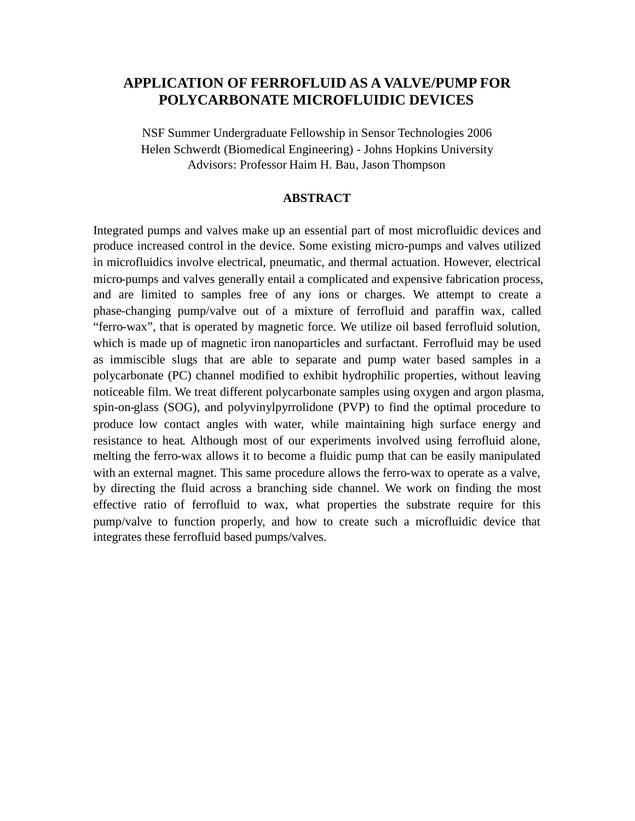# **APPLICATION OF FERROFLUID AS A VALVE/PUMP FOR POLYCARBONATE MICROFLUIDIC DEVICES**

NSF Summer Undergraduate Fellowship in Sensor Technologies 2006 Helen Schwerdt (Biomedical Engineering) - Johns Hopkins University Advisors: Professor Haim H. Bau, Jason Thompson

#### **ABSTRACT**

Integrated pumps and valves make up an essential part of most microfluidic devices and produce increased control in the device. Some existing micro-pumps and valves utilized in microfluidics involve electrical, pneumatic, and thermal actuation. However, electrical micro-pumps and valves generally entail a complicated and expensive fabrication process, and are limited to samples free of any ions or charges. We attempt to create a phase-changing pump/valve out of a mixture of ferrofluid and paraffin wax, called "ferro-wax", that is operated by magnetic force. We utilize oil based ferrofluid solution, which is made up of magnetic iron nanoparticles and surfactant. Ferrofluid may be used as immiscible slugs that are able to separate and pump water based samples in a polycarbonate (PC) channel modified to exhibit hydrophilic properties, without leaving noticeable film. We treat different polycarbonate samples using oxygen and argon plasma, spin-on-glass (SOG), and polyvinylpyrrolidone (PVP) to find the optimal procedure to produce low contact angles with water, while maintaining high surface energy and resistance to heat. Although most of our experiments involved using ferrofluid alone, melting the ferro-wax allows it to become a fluidic pump that can be easily manipulated with an external magnet. This same procedure allows the ferro-wax to operate as a valve, by directing the fluid across a branching side channel. We work on finding the most effective ratio of ferrofluid to wax, what properties the substrate require for this pump/valve to function properly, and how to create such a microfluidic device that integrates these ferrofluid based pumps/valves.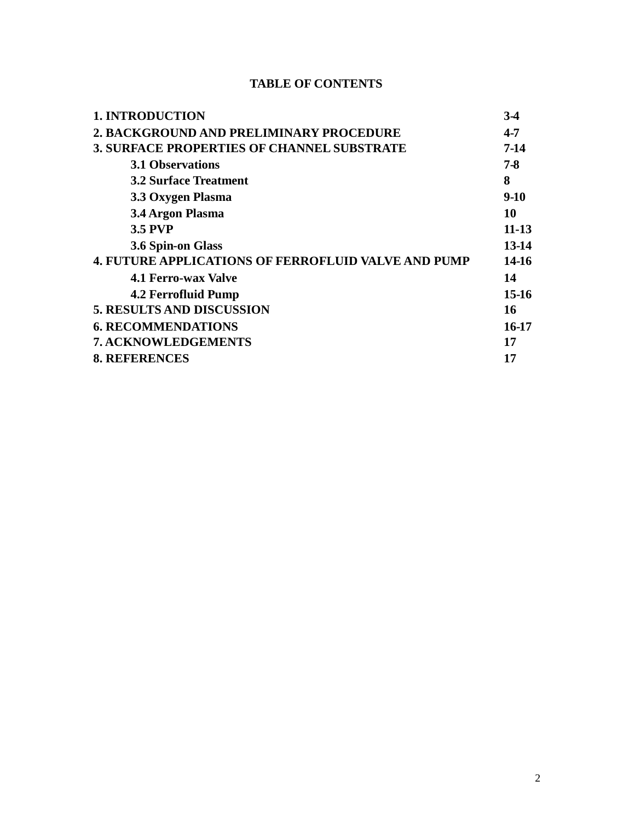# **TABLE OF CONTENTS**

| <b>1. INTRODUCTION</b>                                     | 34      |
|------------------------------------------------------------|---------|
| 2. BACKGROUND AND PRELIMINARY PROCEDURE                    | 4-7     |
| <b>3. SURFACE PROPERTIES OF CHANNEL SUBSTRATE</b>          | $7-14$  |
| <b>3.1 Observations</b>                                    | 7-8     |
| <b>3.2 Surface Treatment</b>                               | 8       |
| 3.3 Oxygen Plasma                                          | $9-10$  |
| 3.4 Argon Plasma                                           | 10      |
| <b>3.5 PVP</b>                                             | 11-13   |
| 3.6 Spin-on Glass                                          | 13-14   |
| <b>4. FUTURE APPLICATIONS OF FERROFLUID VALVE AND PUMP</b> | 14-16   |
| <b>4.1 Ferro-wax Valve</b>                                 | 14      |
| 4.2 Ferrofluid Pump                                        | $15-16$ |
| <b>5. RESULTS AND DISCUSSION</b>                           | 16      |
| <b>6. RECOMMENDATIONS</b>                                  | 16-17   |
| 7. ACKNOWLEDGEMENTS                                        | 17      |
| <b>8. REFERENCES</b>                                       | 17      |
|                                                            |         |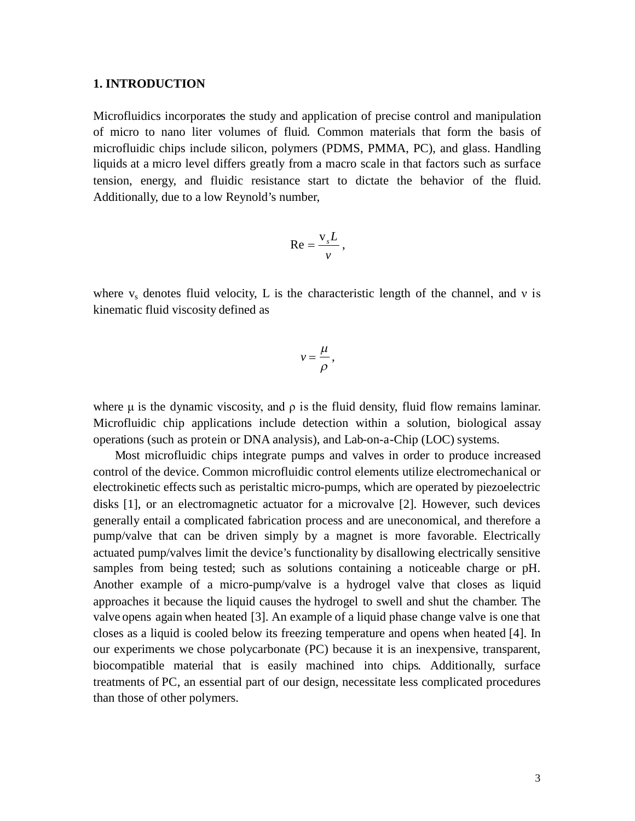#### **1. INTRODUCTION**

Microfluidics incorporates the study and application of precise control and manipulation of micro to nano liter volumes of fluid. Common materials that form the basis of microfluidic chips include silicon, polymers (PDMS, PMMA, PC), and glass. Handling liquids at a micro level differs greatly from a macro scale in that factors such as surface tension, energy, and fluidic resistance start to dictate the behavior of the fluid. Additionally, due to a low Reynold's number,

$$
\operatorname{Re}=\frac{\operatorname{v}_s L}{\operatorname{v}},
$$

where  $v_s$  denotes fluid velocity, L is the characteristic length of the channel, and v is kinematic fluid viscosity defined as

$$
v=\frac{\mu}{\rho},
$$

where  $\mu$  is the dynamic viscosity, and  $\rho$  is the fluid density, fluid flow remains laminar. Microfluidic chip applications include detection within a solution, biological assay operations (such as protein or DNA analysis), and Lab-on-a-Chip (LOC) systems.

Most microfluidic chips integrate pumps and valves in order to produce increased control of the device. Common microfluidic control elements utilize electromechanical or electrokinetic effects such as peristaltic micro-pumps, which are operated by piezoelectric disks [1], or an electromagnetic actuator for a microvalve [2]. However, such devices generally entail a complicated fabrication process and are uneconomical, and therefore a pump/valve that can be driven simply by a magnet is more favorable. Electrically actuated pump/valves limit the device's functionality by disallowing electrically sensitive samples from being tested; such as solutions containing a noticeable charge or pH. Another example of a micro-pump/valve is a hydrogel valve that closes as liquid approaches it because the liquid causes the hydrogel to swell and shut the chamber. The valve opens again when heated [3]. An example of a liquid phase change valve is one that closes as a liquid is cooled below its freezing temperature and opens when heated [4]. In our experiments we chose polycarbonate (PC) because it is an inexpensive, transparent, biocompatible material that is easily machined into chips. Additionally, surface treatments of PC, an essential part of our design, necessitate less complicated procedures than those of other polymers.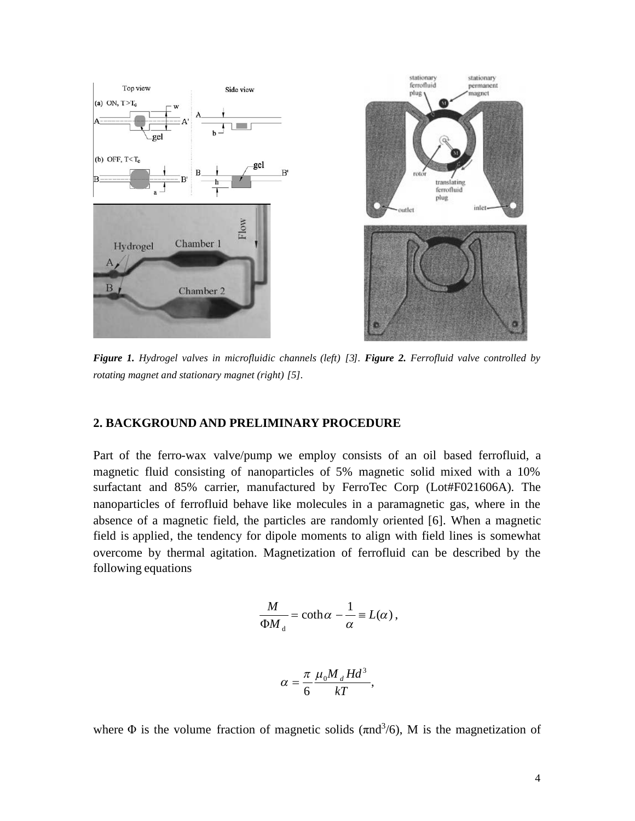

*Figure 1. Hydrogel valves in microfluidic channels (left) [3]. Figure 2. Ferrofluid valve controlled by rotating magnet and stationary magnet (right) [5].*

#### **2. BACKGROUND AND PRELIMINARY PROCEDURE**

Part of the ferro-wax valve/pump we employ consists of an oil based ferrofluid, a magnetic fluid consisting of nanoparticles of 5% magnetic solid mixed with a 10% surfactant and 85% carrier, manufactured by FerroTec Corp (Lot#F021606A). The nanoparticles of ferrofluid behave like molecules in a paramagnetic gas, where in the absence of a magnetic field, the particles are randomly oriented [6]. When a magnetic field is applied, the tendency for dipole moments to align with field lines is somewhat overcome by thermal agitation. Magnetization of ferrofluid can be described by the following equations

$$
\frac{M}{\Phi M_{\rm d}} = \coth \alpha - \frac{1}{\alpha} \equiv L(\alpha) \,,
$$

$$
\alpha = \frac{\pi}{6} \frac{\mu_0 M_d H d^3}{kT}
$$

,

where  $\Phi$  is the volume fraction of magnetic solids ( $\pi$ nd<sup>3</sup>/6), M is the magnetization of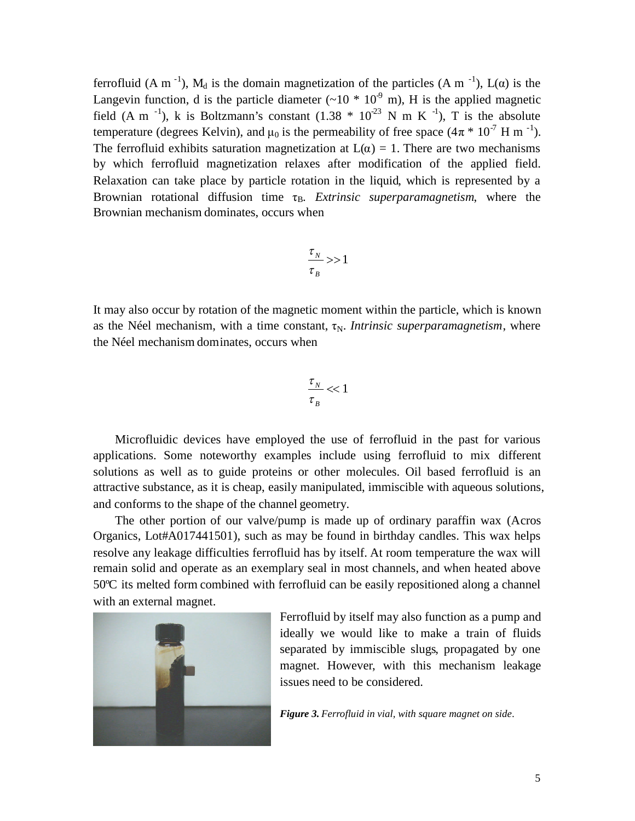ferrofluid (A m<sup>-1</sup>), M<sub>d</sub> is the domain magnetization of the particles (A m<sup>-1</sup>), L( $\alpha$ ) is the Langevin function, d is the particle diameter  $({\sim}10 * 10^{-9}$  m), H is the applied magnetic field (A m<sup>-1</sup>), k is Boltzmann's constant (1.38  $*$  10<sup>-23</sup> N m K<sup>-1</sup>), T is the absolute temperature (degrees Kelvin), and  $\mu_0$  is the permeability of free space  $(4\pi * 10^{-7} \text{ H m}^{-1})$ . The ferrofluid exhibits saturation magnetization at  $L(\alpha) = 1$ . There are two mechanisms by which ferrofluid magnetization relaxes after modification of the applied field. Relaxation can take place by particle rotation in the liquid, which is represented by a Brownian rotational diffusion time  $\tau_B$ . *Extrinsic superparamagnetism*, where the Brownian mechanism dominates, occurs when

$$
\frac{\tau_{N}}{\tau_{B}} >> 1
$$

It may also occur by rotation of the magnetic moment within the particle, which is known as the Néel mechanism, with a time constant,  $\tau_N$ . *Intrinsic superparamagnetism*, where the Néel mechanism dominates, occurs when

$$
\frac{\tau_{\scriptscriptstyle N}}{\tau_{\scriptscriptstyle B}} << 1
$$

Microfluidic devices have employed the use of ferrofluid in the past for various applications. Some noteworthy examples include using ferrofluid to mix different solutions as well as to guide proteins or other molecules. Oil based ferrofluid is an attractive substance, as it is cheap, easily manipulated, immiscible with aqueous solutions, and conforms to the shape of the channel geometry.

The other portion of our valve/pump is made up of ordinary paraffin wax (Acros Organics, Lot#A017441501), such as may be found in birthday candles. This wax helps resolve any leakage difficulties ferrofluid has by itself. At room temperature the wax will remain solid and operate as an exemplary seal in most channels, and when heated above 50ºC its melted form combined with ferrofluid can be easily repositioned along a channel with an external magnet.



Ferrofluid by itself may also function as a pump and ideally we would like to make a train of fluids separated by immiscible slugs, propagated by one magnet. However, with this mechanism leakage issues need to be considered.

*Figure 3. Ferrofluid in vial, with square magnet on side.*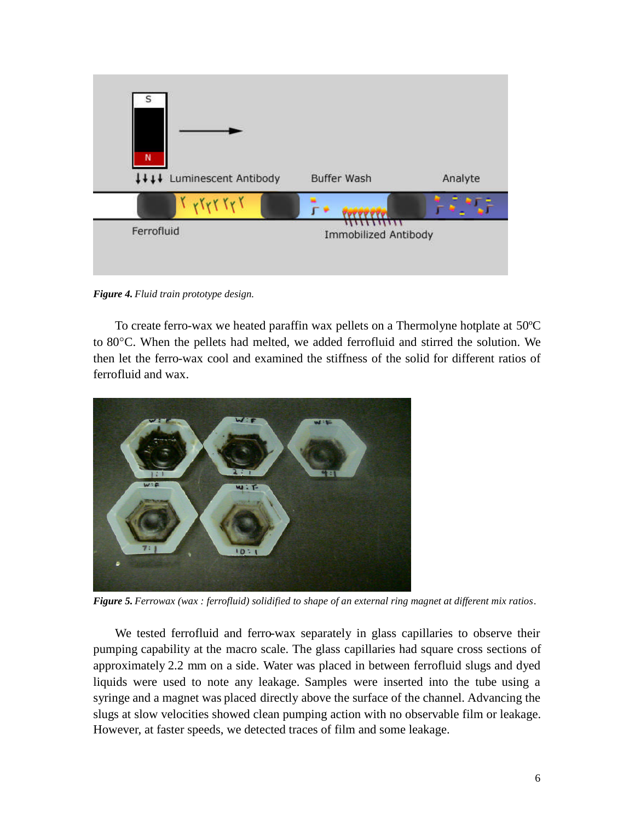

*Figure 4. Fluid train prototype design.*

To create ferro-wax we heated paraffin wax pellets on a Thermolyne hotplate at 50ºC to 80°C. When the pellets had melted, we added ferrofluid and stirred the solution. We then let the ferro-wax cool and examined the stiffness of the solid for different ratios of ferrofluid and wax.



*Figure 5. Ferrowax (wax : ferrofluid) solidified to shape of an external ring magnet at different mix ratios.*

We tested ferrofluid and ferro-wax separately in glass capillaries to observe their pumping capability at the macro scale. The glass capillaries had square cross sections of approximately 2.2 mm on a side. Water was placed in between ferrofluid slugs and dyed liquids were used to note any leakage. Samples were inserted into the tube using a syringe and a magnet was placed directly above the surface of the channel. Advancing the slugs at slow velocities showed clean pumping action with no observable film or leakage. However, at faster speeds, we detected traces of film and some leakage.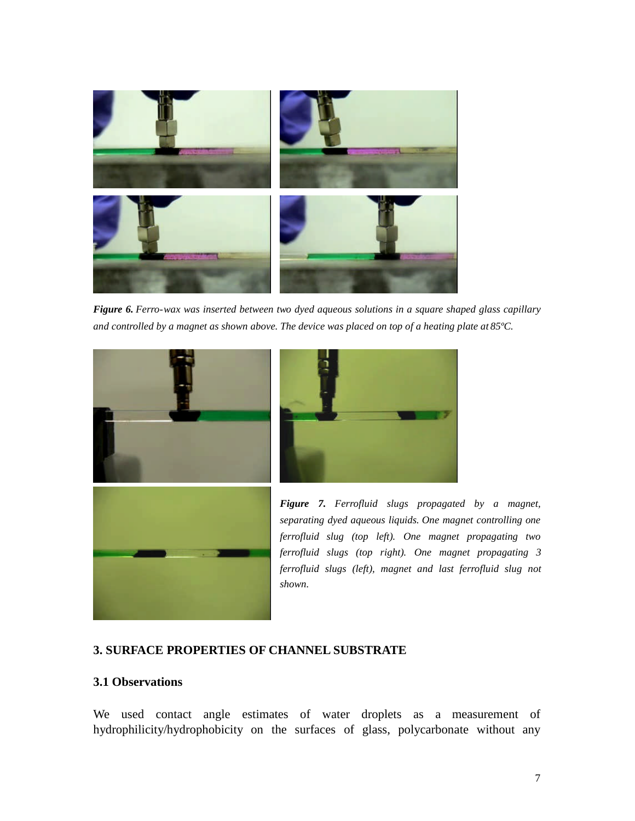

*Figure 6. Ferro-wax was inserted between two dyed aqueous solutions in a square shaped glass capillary and controlled by a magnet as shown above. The device was placed on top of a heating plate at 85ºC.*





*Figure 7. Ferrofluid slugs propagated by a magnet, separating dyed aqueous liquids. One magnet controlling one ferrofluid slug (top left). One magnet propagating two ferrofluid slugs (top right). One magnet propagating 3 ferrofluid slugs (left), magnet and last ferrofluid slug not shown.*

### **3. SURFACE PROPERTIES OF CHANNEL SUBSTRATE**

## **3.1 Observations**

We used contact angle estimates of water droplets as a measurement of hydrophilicity/hydrophobicity on the surfaces of glass, polycarbonate without any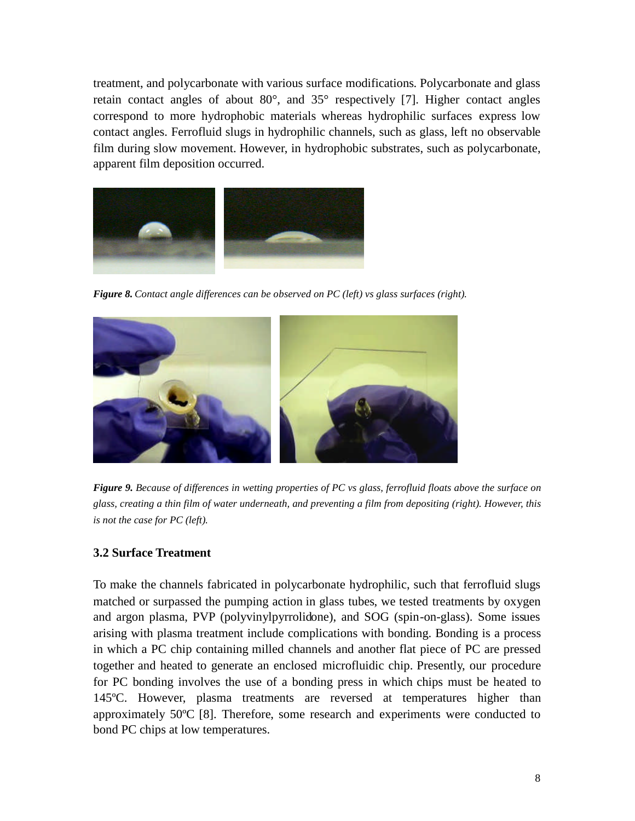treatment, and polycarbonate with various surface modifications. Polycarbonate and glass retain contact angles of about 80°, and 35° respectively [7]. Higher contact angles correspond to more hydrophobic materials whereas hydrophilic surfaces express low contact angles. Ferrofluid slugs in hydrophilic channels, such as glass, left no observable film during slow movement. However, in hydrophobic substrates, such as polycarbonate, apparent film deposition occurred.



*Figure 8. Contact angle differences can be observed on PC (left) vs glass surfaces (right).*



*Figure 9. Because of differences in wetting properties of PC vs glass, ferrofluid floats above the surface on glass, creating a thin film of water underneath, and preventing a film from depositing (right). However, this is not the case for PC (left).*

## **3.2 Surface Treatment**

To make the channels fabricated in polycarbonate hydrophilic, such that ferrofluid slugs matched or surpassed the pumping action in glass tubes, we tested treatments by oxygen and argon plasma, PVP (polyvinylpyrrolidone), and SOG (spin-on-glass). Some issues arising with plasma treatment include complications with bonding. Bonding is a process in which a PC chip containing milled channels and another flat piece of PC are pressed together and heated to generate an enclosed microfluidic chip. Presently, our procedure for PC bonding involves the use of a bonding press in which chips must be heated to 145ºC. However, plasma treatments are reversed at temperatures higher than approximately 50ºC [8]. Therefore, some research and experiments were conducted to bond PC chips at low temperatures.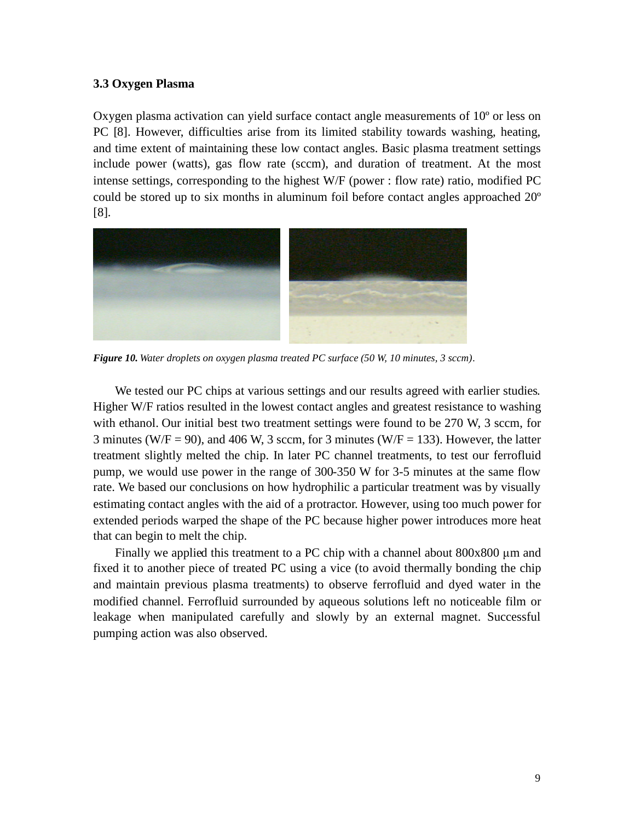#### **3.3 Oxygen Plasma**

Oxygen plasma activation can yield surface contact angle measurements of 10º or less on PC [8]. However, difficulties arise from its limited stability towards washing, heating, and time extent of maintaining these low contact angles. Basic plasma treatment settings include power (watts), gas flow rate (sccm), and duration of treatment. At the most intense settings, corresponding to the highest W/F (power : flow rate) ratio, modified PC could be stored up to six months in aluminum foil before contact angles approached 20º [8].



*Figure 10. Water droplets on oxygen plasma treated PC surface (50 W, 10 minutes, 3 sccm).*

We tested our PC chips at various settings and our results agreed with earlier studies. Higher W/F ratios resulted in the lowest contact angles and greatest resistance to washing with ethanol. Our initial best two treatment settings were found to be 270 W, 3 sccm, for 3 minutes (W/F = 90), and 406 W, 3 sccm, for 3 minutes (W/F = 133). However, the latter treatment slightly melted the chip. In later PC channel treatments, to test our ferrofluid pump, we would use power in the range of 300-350 W for 3-5 minutes at the same flow rate. We based our conclusions on how hydrophilic a particular treatment was by visually estimating contact angles with the aid of a protractor. However, using too much power for extended periods warped the shape of the PC because higher power introduces more heat that can begin to melt the chip.

Finally we applied this treatment to a PC chip with a channel about 800x800 μm and fixed it to another piece of treated PC using a vice (to avoid thermally bonding the chip and maintain previous plasma treatments) to observe ferrofluid and dyed water in the modified channel. Ferrofluid surrounded by aqueous solutions left no noticeable film or leakage when manipulated carefully and slowly by an external magnet. Successful pumping action was also observed.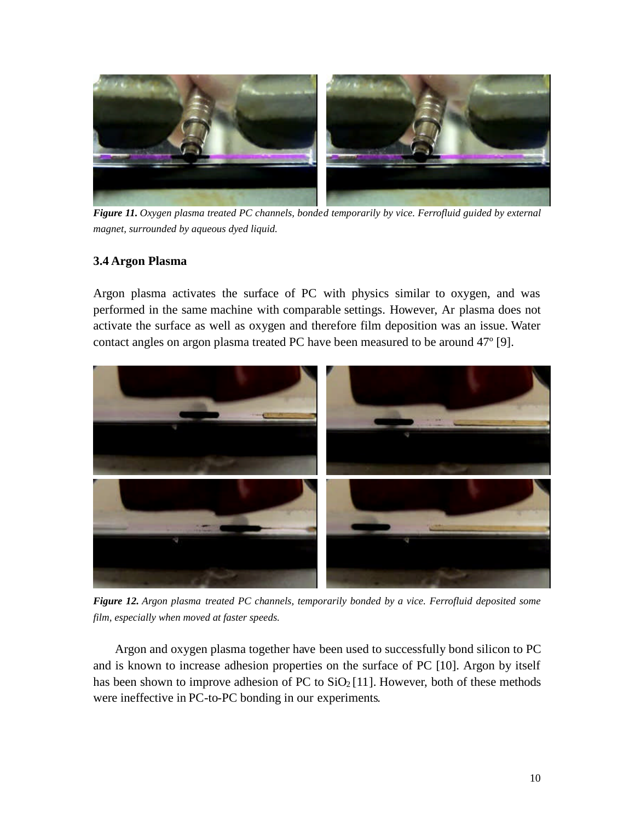

*Figure 11. Oxygen plasma treated PC channels, bonded temporarily by vice. Ferrofluid guided by external magnet, surrounded by aqueous dyed liquid.*

## **3.4 Argon Plasma**

Argon plasma activates the surface of PC with physics similar to oxygen, and was performed in the same machine with comparable settings. However, Ar plasma does not activate the surface as well as oxygen and therefore film deposition was an issue. Water contact angles on argon plasma treated PC have been measured to be around 47º [9].



*Figure 12. Argon plasma treated PC channels, temporarily bonded by a vice. Ferrofluid deposited some film, especially when moved at faster speeds.*

Argon and oxygen plasma together have been used to successfully bond silicon to PC and is known to increase adhesion properties on the surface of PC [10]. Argon by itself has been shown to improve adhesion of PC to  $SiO<sub>2</sub>[11]$ . However, both of these methods were ineffective in PC-to-PC bonding in our experiments.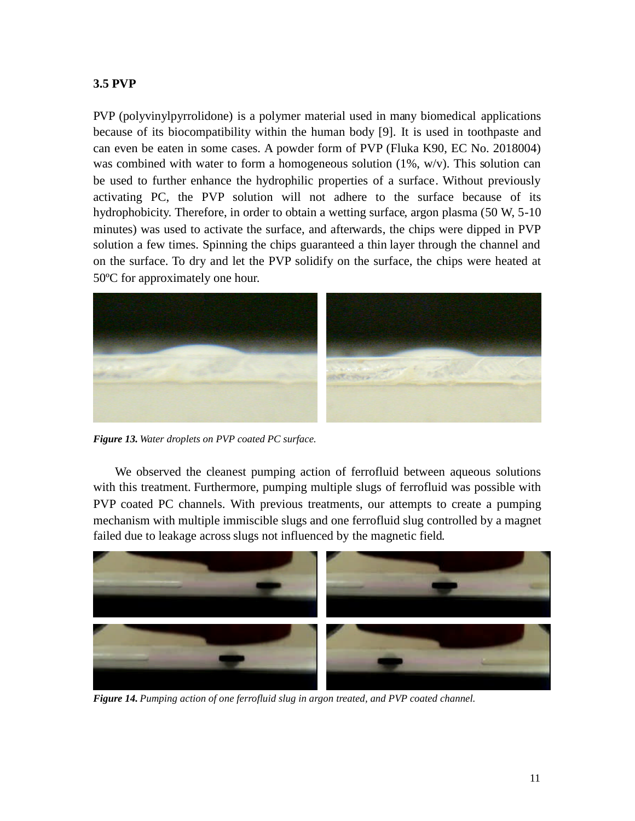## **3.5 PVP**

PVP (polyvinylpyrrolidone) is a polymer material used in many biomedical applications because of its biocompatibility within the human body [9]. It is used in toothpaste and can even be eaten in some cases. A powder form of PVP (Fluka K90, EC No. 2018004) was combined with water to form a homogeneous solution  $(1\%, w/v)$ . This solution can be used to further enhance the hydrophilic properties of a surface. Without previously activating PC, the PVP solution will not adhere to the surface because of its hydrophobicity. Therefore, in order to obtain a wetting surface, argon plasma (50 W, 5-10 minutes) was used to activate the surface, and afterwards, the chips were dipped in PVP solution a few times. Spinning the chips guaranteed a thin layer through the channel and on the surface. To dry and let the PVP solidify on the surface, the chips were heated at 50ºC for approximately one hour.



*Figure 13. Water droplets on PVP coated PC surface.*

We observed the cleanest pumping action of ferrofluid between aqueous solutions with this treatment. Furthermore, pumping multiple slugs of ferrofluid was possible with PVP coated PC channels. With previous treatments, our attempts to create a pumping mechanism with multiple immiscible slugs and one ferrofluid slug controlled by a magnet failed due to leakage across slugs not influenced by the magnetic field.



*Figure 14. Pumping action of one ferrofluid slug in argon treated, and PVP coated channel.*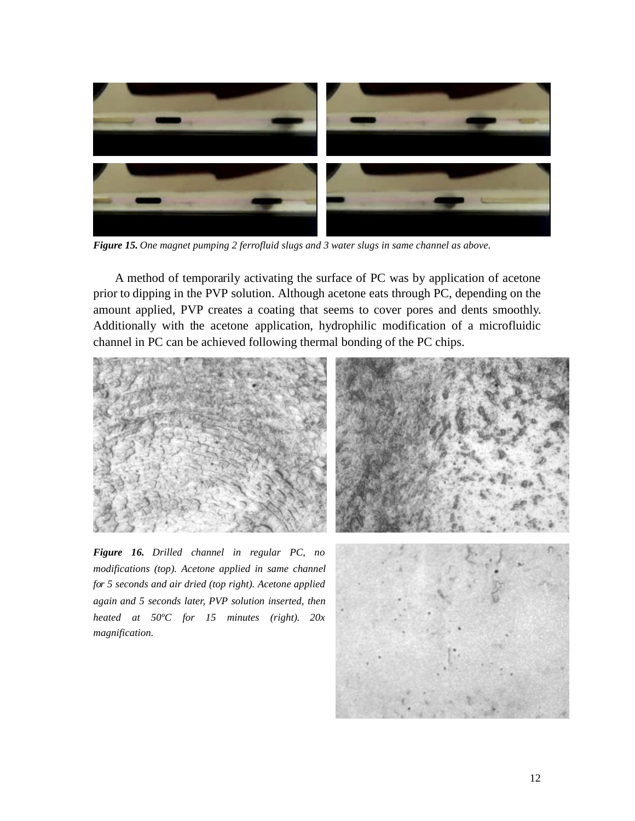

*Figure 15. One magnet pumping 2 ferrofluid slugs and 3 water slugs in same channel as above.*

A method of temporarily activating the surface of PC was by application of acetone prior to dipping in the PVP solution. Although acetone eats through PC, depending on the amount applied, PVP creates a coating that seems to cover pores and dents smoothly. Additionally with the acetone application, hydrophilic modification of a microfluidic channel in PC can be achieved following thermal bonding of the PC chips.



*Figure 16. Drilled channel in regular PC, no modifications (top). Acetone applied in same channel for 5 seconds and air dried (top right). Acetone applied again and 5 seconds later, PVP solution inserted, then heated at 50ºC for 15 minutes (right). 20x magnification.*



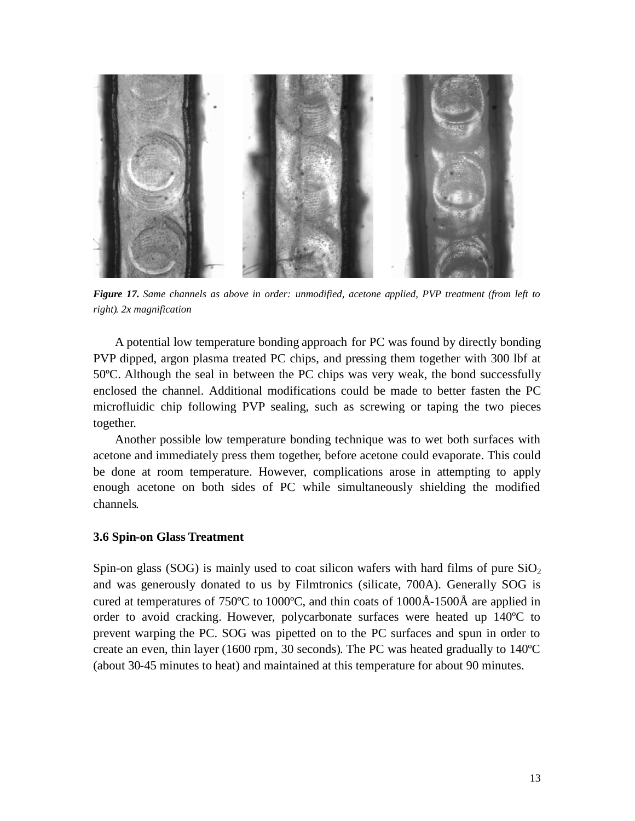

*Figure 17. Same channels as above in order: unmodified, acetone applied, PVP treatment (from left to right). 2x magnification*

A potential low temperature bonding approach for PC was found by directly bonding PVP dipped, argon plasma treated PC chips, and pressing them together with 300 lbf at 50ºC. Although the seal in between the PC chips was very weak, the bond successfully enclosed the channel. Additional modifications could be made to better fasten the PC microfluidic chip following PVP sealing, such as screwing or taping the two pieces together.

Another possible low temperature bonding technique was to wet both surfaces with acetone and immediately press them together, before acetone could evaporate. This could be done at room temperature. However, complications arose in attempting to apply enough acetone on both sides of PC while simultaneously shielding the modified channels.

#### **3.6 Spin-on Glass Treatment**

Spin-on glass (SOG) is mainly used to coat silicon wafers with hard films of pure  $SiO<sub>2</sub>$ and was generously donated to us by Filmtronics (silicate, 700A). Generally SOG is cured at temperatures of 750ºC to 1000ºC, and thin coats of 1000Å-1500Å are applied in order to avoid cracking. However, polycarbonate surfaces were heated up 140ºC to prevent warping the PC. SOG was pipetted on to the PC surfaces and spun in order to create an even, thin layer (1600 rpm, 30 seconds). The PC was heated gradually to 140ºC (about 30-45 minutes to heat) and maintained at this temperature for about 90 minutes.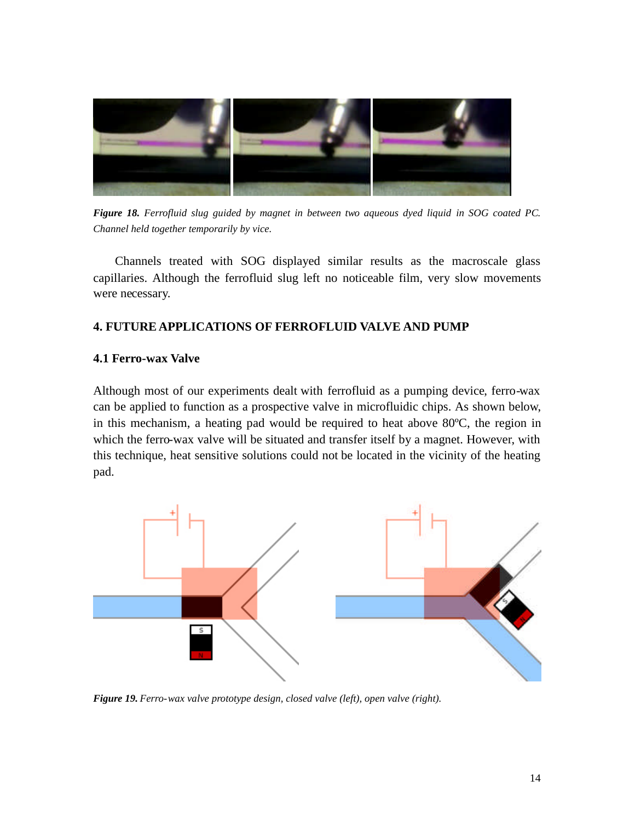

*Figure 18. Ferrofluid slug guided by magnet in between two aqueous dyed liquid in SOG coated PC. Channel held together temporarily by vice.*

Channels treated with SOG displayed similar results as the macroscale glass capillaries. Although the ferrofluid slug left no noticeable film, very slow movements were necessary.

## **4. FUTURE APPLICATIONS OF FERROFLUID VALVE AND PUMP**

### **4.1 Ferro-wax Valve**

Although most of our experiments dealt with ferrofluid as a pumping device, ferro-wax can be applied to function as a prospective valve in microfluidic chips. As shown below, in this mechanism, a heating pad would be required to heat above 80ºC, the region in which the ferro-wax valve will be situated and transfer itself by a magnet. However, with this technique, heat sensitive solutions could not be located in the vicinity of the heating pad.



*Figure 19. Ferro-wax valve prototype design, closed valve (left), open valve (right).*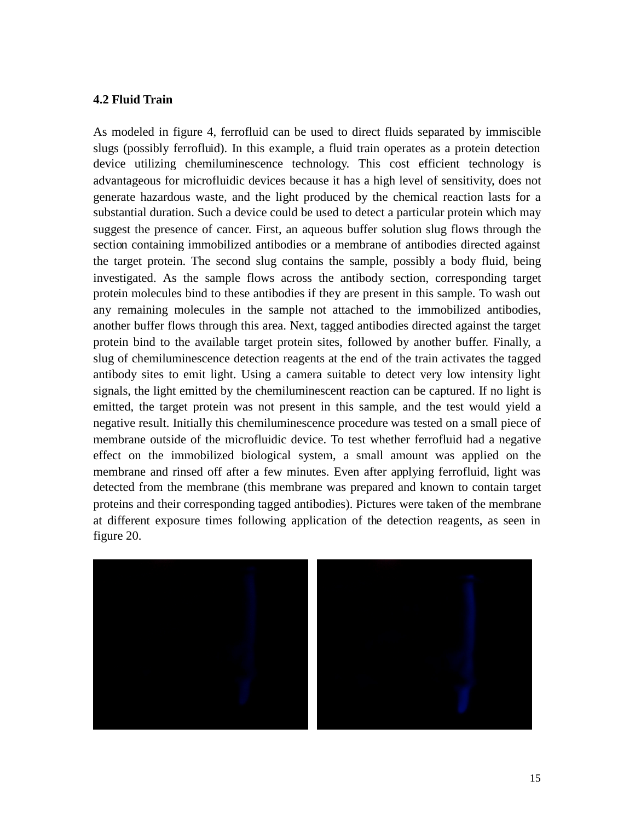## **4.2 Fluid Train**

As modeled in figure 4, ferrofluid can be used to direct fluids separated by immiscible slugs (possibly ferrofluid). In this example, a fluid train operates as a protein detection device utilizing chemiluminescence technology. This cost efficient technology is advantageous for microfluidic devices because it has a high level of sensitivity, does not generate hazardous waste, and the light produced by the chemical reaction lasts for a substantial duration. Such a device could be used to detect a particular protein which may suggest the presence of cancer. First, an aqueous buffer solution slug flows through the section containing immobilized antibodies or a membrane of antibodies directed against the target protein. The second slug contains the sample, possibly a body fluid, being investigated. As the sample flows across the antibody section, corresponding target protein molecules bind to these antibodies if they are present in this sample. To wash out any remaining molecules in the sample not attached to the immobilized antibodies, another buffer flows through this area. Next, tagged antibodies directed against the target protein bind to the available target protein sites, followed by another buffer. Finally, a slug of chemiluminescence detection reagents at the end of the train activates the tagged antibody sites to emit light. Using a camera suitable to detect very low intensity light signals, the light emitted by the chemiluminescent reaction can be captured. If no light is emitted, the target protein was not present in this sample, and the test would yield a negative result. Initially this chemiluminescence procedure was tested on a small piece of membrane outside of the microfluidic device. To test whether ferrofluid had a negative effect on the immobilized biological system, a small amount was applied on the membrane and rinsed off after a few minutes. Even after applying ferrofluid, light was detected from the membrane (this membrane was prepared and known to contain target proteins and their corresponding tagged antibodies). Pictures were taken of the membrane at different exposure times following application of the detection reagents, as seen in figure 20.

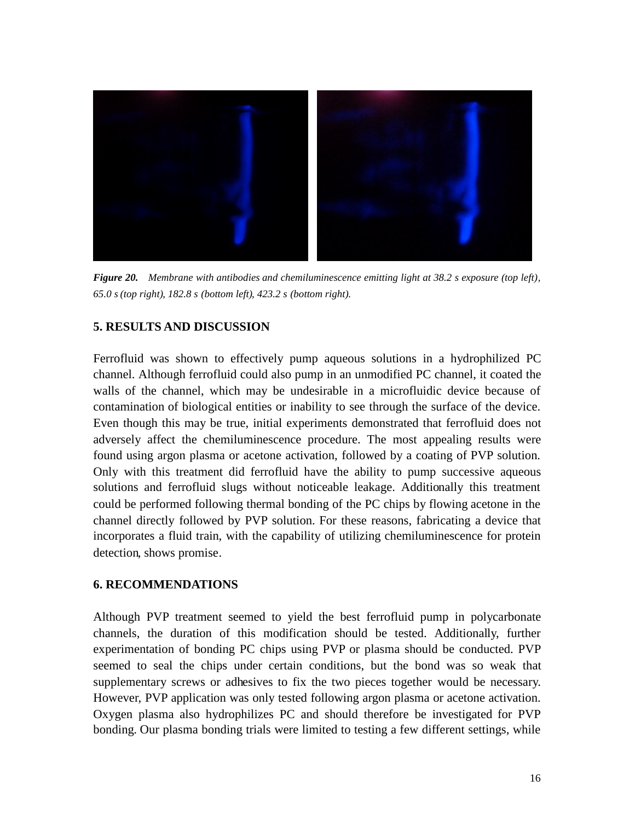

*Figure 20. Membrane with antibodies and chemiluminescence emitting light at 38.2 s exposure (top left), 65.0 s (top right), 182.8 s (bottom left), 423.2 s (bottom right).*

## **5. RESULTS AND DISCUSSION**

Ferrofluid was shown to effectively pump aqueous solutions in a hydrophilized PC channel. Although ferrofluid could also pump in an unmodified PC channel, it coated the walls of the channel, which may be undesirable in a microfluidic device because of contamination of biological entities or inability to see through the surface of the device. Even though this may be true, initial experiments demonstrated that ferrofluid does not adversely affect the chemiluminescence procedure. The most appealing results were found using argon plasma or acetone activation, followed by a coating of PVP solution. Only with this treatment did ferrofluid have the ability to pump successive aqueous solutions and ferrofluid slugs without noticeable leakage. Additionally this treatment could be performed following thermal bonding of the PC chips by flowing acetone in the channel directly followed by PVP solution. For these reasons, fabricating a device that incorporates a fluid train, with the capability of utilizing chemiluminescence for protein detection, shows promise.

### **6. RECOMMENDATIONS**

Although PVP treatment seemed to yield the best ferrofluid pump in polycarbonate channels, the duration of this modification should be tested. Additionally, further experimentation of bonding PC chips using PVP or plasma should be conducted. PVP seemed to seal the chips under certain conditions, but the bond was so weak that supplementary screws or adhesives to fix the two pieces together would be necessary. However, PVP application was only tested following argon plasma or acetone activation. Oxygen plasma also hydrophilizes PC and should therefore be investigated for PVP bonding. Our plasma bonding trials were limited to testing a few different settings, while